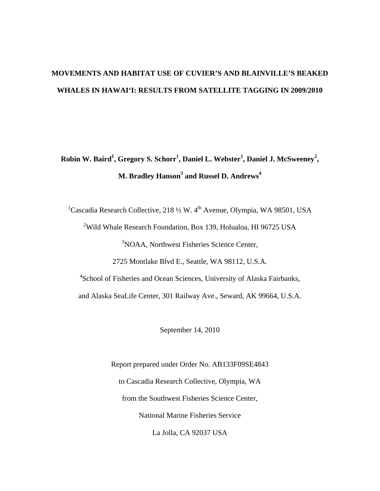# **MOVEMENTS AND HABITAT USE OF CUVIER'S AND BLAINVILLE'S BEAKED WHALES IN HAWAI'I: RESULTS FROM SATELLITE TAGGING IN 2009/2010**

# **Robin W. Baird<sup>1</sup> , Gregory S. Schorr1 , Daniel L. Webster<sup>1</sup> , Daniel J. McSweeney<sup>2</sup> , M. Bradley Hanson3 and Russel D. Andrews<sup>4</sup>**

<sup>1</sup>Cascadia Research Collective, 218  $\frac{1}{2}$  W. 4<sup>th</sup> Avenue, Olympia, WA 98501, USA <sup>2</sup>Wild Whale Research Foundation, Box 139, Holualoa, HI 96725 USA <sup>3</sup>NOAA, Northwest Fisheries Science Center, 2725 Montlake Blvd E., Seattle, WA 98112, U.S.A. <sup>4</sup>School of Fisheries and Ocean Sciences, University of Alaska Fairbanks,

and Alaska SeaLife Center, 301 Railway Ave., Seward, AK 99664, U.S.A.

September 14, 2010

Report prepared under Order No. AB133F09SE4843 to Cascadia Research Collective, Olympia, WA from the Southwest Fisheries Science Center, National Marine Fisheries Service La Jolla, CA 92037 USA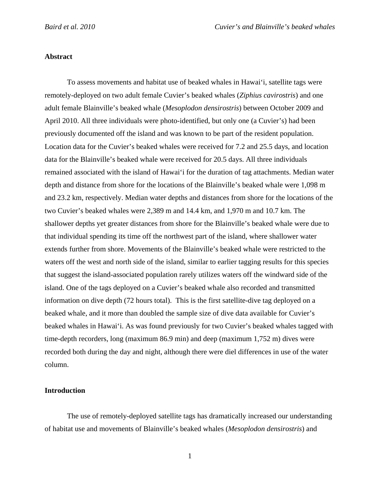## **Abstract**

 To assess movements and habitat use of beaked whales in Hawai'i, satellite tags were remotely-deployed on two adult female Cuvier's beaked whales (*Ziphius cavirostris*) and one adult female Blainville's beaked whale (*Mesoplodon densirostris*) between October 2009 and April 2010. All three individuals were photo-identified, but only one (a Cuvier's) had been previously documented off the island and was known to be part of the resident population. Location data for the Cuvier's beaked whales were received for 7.2 and 25.5 days, and location data for the Blainville's beaked whale were received for 20.5 days. All three individuals remained associated with the island of Hawai'i for the duration of tag attachments. Median water depth and distance from shore for the locations of the Blainville's beaked whale were 1,098 m and 23.2 km, respectively. Median water depths and distances from shore for the locations of the two Cuvier's beaked whales were 2,389 m and 14.4 km, and 1,970 m and 10.7 km. The shallower depths yet greater distances from shore for the Blainville's beaked whale were due to that individual spending its time off the northwest part of the island, where shallower water extends further from shore. Movements of the Blainville's beaked whale were restricted to the waters off the west and north side of the island, similar to earlier tagging results for this species that suggest the island-associated population rarely utilizes waters off the windward side of the island. One of the tags deployed on a Cuvier's beaked whale also recorded and transmitted information on dive depth (72 hours total). This is the first satellite-dive tag deployed on a beaked whale, and it more than doubled the sample size of dive data available for Cuvier's beaked whales in Hawai'i. As was found previously for two Cuvier's beaked whales tagged with time-depth recorders, long (maximum 86.9 min) and deep (maximum 1,752 m) dives were recorded both during the day and night, although there were diel differences in use of the water column.

### **Introduction**

 The use of remotely-deployed satellite tags has dramatically increased our understanding of habitat use and movements of Blainville's beaked whales (*Mesoplodon densirostris*) and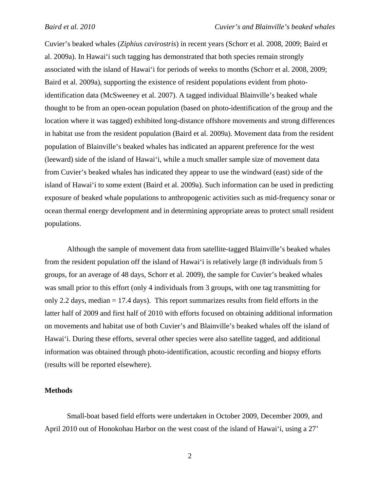Cuvier's beaked whales (*Ziphius cavirostris*) in recent years (Schorr et al. 2008, 2009; Baird et al. 2009a). In Hawai'i such tagging has demonstrated that both species remain strongly associated with the island of Hawai'i for periods of weeks to months (Schorr et al. 2008, 2009; Baird et al. 2009a), supporting the existence of resident populations evident from photoidentification data (McSweeney et al. 2007). A tagged individual Blainville's beaked whale thought to be from an open-ocean population (based on photo-identification of the group and the location where it was tagged) exhibited long-distance offshore movements and strong differences in habitat use from the resident population (Baird et al. 2009a). Movement data from the resident population of Blainville's beaked whales has indicated an apparent preference for the west (leeward) side of the island of Hawai'i, while a much smaller sample size of movement data from Cuvier's beaked whales has indicated they appear to use the windward (east) side of the island of Hawai'i to some extent (Baird et al. 2009a). Such information can be used in predicting exposure of beaked whale populations to anthropogenic activities such as mid-frequency sonar or ocean thermal energy development and in determining appropriate areas to protect small resident populations.

 Although the sample of movement data from satellite-tagged Blainville's beaked whales from the resident population off the island of Hawai'i is relatively large (8 individuals from 5 groups, for an average of 48 days, Schorr et al. 2009), the sample for Cuvier's beaked whales was small prior to this effort (only 4 individuals from 3 groups, with one tag transmitting for only 2.2 days, median = 17.4 days). This report summarizes results from field efforts in the latter half of 2009 and first half of 2010 with efforts focused on obtaining additional information on movements and habitat use of both Cuvier's and Blainville's beaked whales off the island of Hawai'i. During these efforts, several other species were also satellite tagged, and additional information was obtained through photo-identification, acoustic recording and biopsy efforts (results will be reported elsewhere).

#### **Methods**

Small-boat based field efforts were undertaken in October 2009, December 2009, and April 2010 out of Honokohau Harbor on the west coast of the island of Hawai'i, using a 27'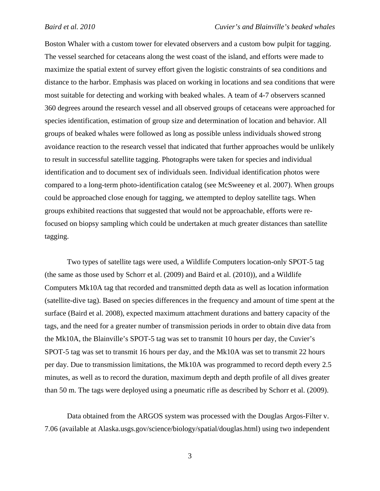Boston Whaler with a custom tower for elevated observers and a custom bow pulpit for tagging. The vessel searched for cetaceans along the west coast of the island, and efforts were made to maximize the spatial extent of survey effort given the logistic constraints of sea conditions and distance to the harbor. Emphasis was placed on working in locations and sea conditions that were most suitable for detecting and working with beaked whales. A team of 4-7 observers scanned 360 degrees around the research vessel and all observed groups of cetaceans were approached for species identification, estimation of group size and determination of location and behavior. All groups of beaked whales were followed as long as possible unless individuals showed strong avoidance reaction to the research vessel that indicated that further approaches would be unlikely to result in successful satellite tagging. Photographs were taken for species and individual identification and to document sex of individuals seen. Individual identification photos were compared to a long-term photo-identification catalog (see McSweeney et al. 2007). When groups could be approached close enough for tagging, we attempted to deploy satellite tags. When groups exhibited reactions that suggested that would not be approachable, efforts were refocused on biopsy sampling which could be undertaken at much greater distances than satellite tagging.

Two types of satellite tags were used, a Wildlife Computers location-only SPOT-5 tag (the same as those used by Schorr et al. (2009) and Baird et al. (2010)), and a Wildlife Computers Mk10A tag that recorded and transmitted depth data as well as location information (satellite-dive tag). Based on species differences in the frequency and amount of time spent at the surface (Baird et al. 2008), expected maximum attachment durations and battery capacity of the tags, and the need for a greater number of transmission periods in order to obtain dive data from the Mk10A, the Blainville's SPOT-5 tag was set to transmit 10 hours per day, the Cuvier's SPOT-5 tag was set to transmit 16 hours per day, and the Mk10A was set to transmit 22 hours per day. Due to transmission limitations, the Mk10A was programmed to record depth every 2.5 minutes, as well as to record the duration, maximum depth and depth profile of all dives greater than 50 m. The tags were deployed using a pneumatic rifle as described by Schorr et al. (2009).

Data obtained from the ARGOS system was processed with the Douglas Argos-Filter v. 7.06 (available at Alaska.usgs.gov/science/biology/spatial/douglas.html) using two independent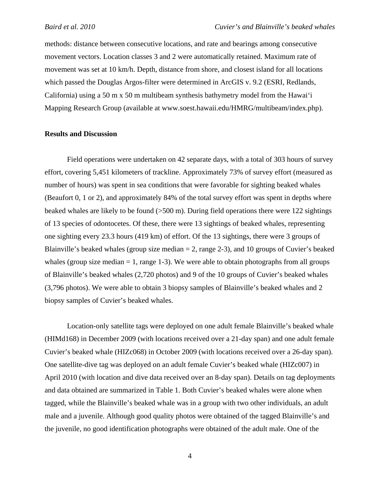methods: distance between consecutive locations, and rate and bearings among consecutive movement vectors. Location classes 3 and 2 were automatically retained. Maximum rate of movement was set at 10 km/h. Depth, distance from shore, and closest island for all locations which passed the Douglas Argos-filter were determined in ArcGIS v. 9.2 (ESRI, Redlands, California) using a 50 m x 50 m multibeam synthesis bathymetry model from the Hawai'i Mapping Research Group (available at www.soest.hawaii.edu/HMRG/multibeam/index.php).

# **Results and Discussion**

Field operations were undertaken on 42 separate days, with a total of 303 hours of survey effort, covering 5,451 kilometers of trackline. Approximately 73% of survey effort (measured as number of hours) was spent in sea conditions that were favorable for sighting beaked whales (Beaufort 0, 1 or 2), and approximately 84% of the total survey effort was spent in depths where beaked whales are likely to be found (>500 m). During field operations there were 122 sightings of 13 species of odontocetes. Of these, there were 13 sightings of beaked whales, representing one sighting every 23.3 hours (419 km) of effort. Of the 13 sightings, there were 3 groups of Blainville's beaked whales (group size median  $= 2$ , range 2-3), and 10 groups of Cuvier's beaked whales (group size median  $= 1$ , range 1-3). We were able to obtain photographs from all groups of Blainville's beaked whales (2,720 photos) and 9 of the 10 groups of Cuvier's beaked whales (3,796 photos). We were able to obtain 3 biopsy samples of Blainville's beaked whales and 2 biopsy samples of Cuvier's beaked whales.

Location-only satellite tags were deployed on one adult female Blainville's beaked whale (HIMd168) in December 2009 (with locations received over a 21-day span) and one adult female Cuvier's beaked whale (HIZc068) in October 2009 (with locations received over a 26-day span). One satellite-dive tag was deployed on an adult female Cuvier's beaked whale (HIZc007) in April 2010 (with location and dive data received over an 8-day span). Details on tag deployments and data obtained are summarized in Table 1. Both Cuvier's beaked whales were alone when tagged, while the Blainville's beaked whale was in a group with two other individuals, an adult male and a juvenile. Although good quality photos were obtained of the tagged Blainville's and the juvenile, no good identification photographs were obtained of the adult male. One of the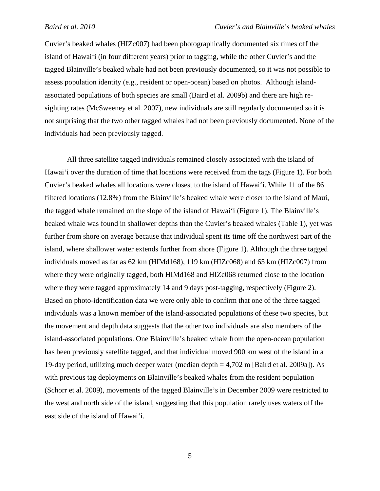Cuvier's beaked whales (HIZc007) had been photographically documented six times off the island of Hawai'i (in four different years) prior to tagging, while the other Cuvier's and the tagged Blainville's beaked whale had not been previously documented, so it was not possible to assess population identity (e.g., resident or open-ocean) based on photos. Although islandassociated populations of both species are small (Baird et al. 2009b) and there are high resighting rates (McSweeney et al. 2007), new individuals are still regularly documented so it is not surprising that the two other tagged whales had not been previously documented. None of the individuals had been previously tagged.

 All three satellite tagged individuals remained closely associated with the island of Hawai'i over the duration of time that locations were received from the tags (Figure 1). For both Cuvier's beaked whales all locations were closest to the island of Hawai'i. While 11 of the 86 filtered locations (12.8%) from the Blainville's beaked whale were closer to the island of Maui, the tagged whale remained on the slope of the island of Hawai'i (Figure 1). The Blainville's beaked whale was found in shallower depths than the Cuvier's beaked whales (Table 1), yet was further from shore on average because that individual spent its time off the northwest part of the island, where shallower water extends further from shore (Figure 1). Although the three tagged individuals moved as far as 62 km (HIMd168), 119 km (HIZc068) and 65 km (HIZc007) from where they were originally tagged, both HIMd168 and HIZc068 returned close to the location where they were tagged approximately 14 and 9 days post-tagging, respectively (Figure 2). Based on photo-identification data we were only able to confirm that one of the three tagged individuals was a known member of the island-associated populations of these two species, but the movement and depth data suggests that the other two individuals are also members of the island-associated populations. One Blainville's beaked whale from the open-ocean population has been previously satellite tagged, and that individual moved 900 km west of the island in a 19-day period, utilizing much deeper water (median depth = 4,702 m [Baird et al. 2009a]). As with previous tag deployments on Blainville's beaked whales from the resident population (Schorr et al. 2009), movements of the tagged Blainville's in December 2009 were restricted to the west and north side of the island, suggesting that this population rarely uses waters off the east side of the island of Hawai'i.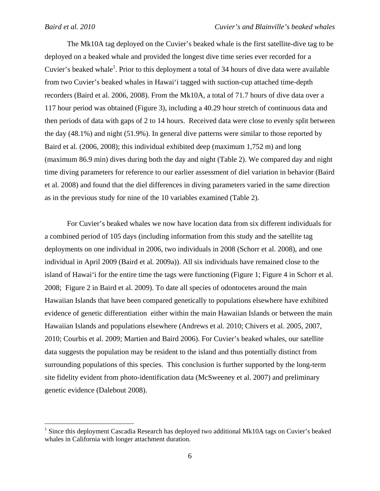$\overline{a}$ 

The Mk10A tag deployed on the Cuvier's beaked whale is the first satellite-dive tag to be deployed on a beaked whale and provided the longest dive time series ever recorded for a Cuvier's beaked whale<sup>1</sup>. Prior to this deployment a total of 34 hours of dive data were available from two Cuvier's beaked whales in Hawai'i tagged with suction-cup attached time-depth recorders (Baird et al. 2006, 2008). From the Mk10A, a total of 71.7 hours of dive data over a 117 hour period was obtained (Figure 3), including a 40.29 hour stretch of continuous data and then periods of data with gaps of 2 to 14 hours. Received data were close to evenly split between the day (48.1%) and night (51.9%). In general dive patterns were similar to those reported by Baird et al. (2006, 2008); this individual exhibited deep (maximum 1,752 m) and long (maximum 86.9 min) dives during both the day and night (Table 2). We compared day and night time diving parameters for reference to our earlier assessment of diel variation in behavior (Baird et al. 2008) and found that the diel differences in diving parameters varied in the same direction as in the previous study for nine of the 10 variables examined (Table 2).

 For Cuvier's beaked whales we now have location data from six different individuals for a combined period of 105 days (including information from this study and the satellite tag deployments on one individual in 2006, two individuals in 2008 (Schorr et al. 2008), and one individual in April 2009 (Baird et al. 2009a)). All six individuals have remained close to the island of Hawai'i for the entire time the tags were functioning (Figure 1; Figure 4 in Schorr et al. 2008; Figure 2 in Baird et al. 2009). To date all species of odontocetes around the main Hawaiian Islands that have been compared genetically to populations elsewhere have exhibited evidence of genetic differentiation either within the main Hawaiian Islands or between the main Hawaiian Islands and populations elsewhere (Andrews et al. 2010; Chivers et al. 2005, 2007, 2010; Courbis et al. 2009; Martien and Baird 2006). For Cuvier's beaked whales, our satellite data suggests the population may be resident to the island and thus potentially distinct from surrounding populations of this species. This conclusion is further supported by the long-term site fidelity evident from photo-identification data (McSweeney et al. 2007) and preliminary genetic evidence (Dalebout 2008).

<sup>1</sup> Since this deployment Cascadia Research has deployed two additional Mk10A tags on Cuvier's beaked whales in California with longer attachment duration.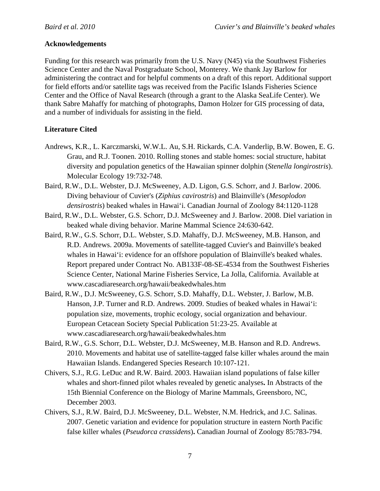# **Acknowledgements**

Funding for this research was primarily from the U.S. Navy (N45) via the Southwest Fisheries Science Center and the Naval Postgraduate School, Monterey. We thank Jay Barlow for administering the contract and for helpful comments on a draft of this report. Additional support for field efforts and/or satellite tags was received from the Pacific Islands Fisheries Science Center and the Office of Naval Research (through a grant to the Alaska SeaLife Center). We thank Sabre Mahaffy for matching of photographs, Damon Holzer for GIS processing of data, and a number of individuals for assisting in the field.

# **Literature Cited**

- Andrews, K.R., L. Karczmarski, W.W.L. Au, S.H. Rickards, C.A. Vanderlip, B.W. Bowen, E. G. Grau, and R.J. Toonen. 2010. Rolling stones and stable homes: social structure, habitat diversity and population genetics of the Hawaiian spinner dolphin (*Stenella longirostris*). Molecular Ecology 19:732-748.
- Baird, R.W., D.L. Webster, D.J. McSweeney, A.D. Ligon, G.S. Schorr, and J. Barlow. 2006. Diving behaviour of Cuvier's (*Ziphius cavirostris*) and Blainville's (*Mesoplodon densirostris*) beaked whales in Hawai'i. Canadian Journal of Zoology 84:1120-1128
- Baird, R.W., D.L. Webster, G.S. Schorr, D.J. McSweeney and J. Barlow. 2008. Diel variation in beaked whale diving behavior. Marine Mammal Science 24:630-642.
- Baird, R.W., G.S. Schorr, D.L. Webster, S.D. Mahaffy, D.J. McSweeney, M.B. Hanson, and R.D. Andrews. 2009a. Movements of satellite-tagged Cuvier's and Bainville's beaked whales in Hawai'i: evidence for an offshore population of Blainville's beaked whales. Report prepared under Contract No. AB133F-08-SE-4534 from the Southwest Fisheries Science Center, National Marine Fisheries Service, La Jolla, California. Available at www.cascadiaresearch.org/hawaii/beakedwhales.htm
- Baird, R.W., D.J. McSweeney, G.S. Schorr, S.D. Mahaffy, D.L. Webster, J. Barlow, M.B. Hanson, J.P. Turner and R.D. Andrews. 2009. Studies of beaked whales in Hawai'i: population size, movements, trophic ecology, social organization and behaviour. European Cetacean Society Special Publication 51:23-25. Available at www.cascadiaresearch.org/hawaii/beakedwhales.htm
- Baird, R.W., G.S. Schorr, D.L. Webster, D.J. McSweeney, M.B. Hanson and R.D. Andrews. 2010. Movements and habitat use of satellite-tagged false killer whales around the main Hawaiian Islands. Endangered Species Research 10:107-121.
- Chivers, S.J., R.G. LeDuc and R.W. Baird. 2003. Hawaiian island populations of false killer whales and short-finned pilot whales revealed by genetic analyses**.** In Abstracts of the 15th Biennial Conference on the Biology of Marine Mammals, Greensboro, NC, December 2003.
- Chivers, S.J., R.W. Baird, D.J. McSweeney, D.L. Webster, N.M. Hedrick, and J.C. Salinas. 2007. Genetic variation and evidence for population structure in eastern North Pacific false killer whales (*Pseudorca crassidens*)**.** Canadian Journal of Zoology 85:783-794.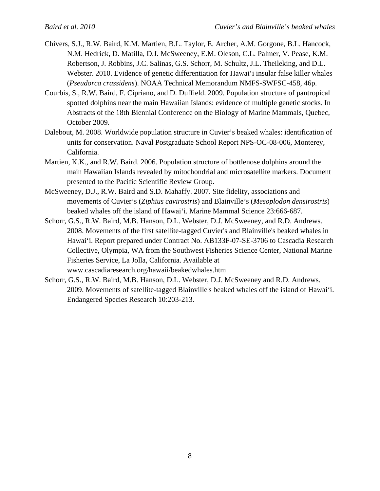- Chivers, S.J., R.W. Baird, K.M. Martien, B.L. Taylor, E. Archer, A.M. Gorgone, B.L. Hancock, N.M. Hedrick, D. Matilla, D.J. McSweeney, E.M. Oleson, C.L. Palmer, V. Pease, K.M. Robertson, J. Robbins, J.C. Salinas, G.S. Schorr, M. Schultz, J.L. Theileking, and D.L. Webster. 2010. Evidence of genetic differentiation for Hawai'i insular false killer whales (*Pseudorca crassidens*). NOAA Technical Memorandum NMFS-SWFSC-458, 46p.
- Courbis, S., R.W. Baird, F. Cipriano, and D. Duffield. 2009. Population structure of pantropical spotted dolphins near the main Hawaiian Islands: evidence of multiple genetic stocks. In Abstracts of the 18th Biennial Conference on the Biology of Marine Mammals, Quebec, October 2009.
- Dalebout, M. 2008. Worldwide population structure in Cuvier's beaked whales: identification of units for conservation. Naval Postgraduate School Report NPS-OC-08-006, Monterey, California.
- Martien, K.K., and R.W. Baird. 2006. Population structure of bottlenose dolphins around the main Hawaiian Islands revealed by mitochondrial and microsatellite markers. Document presented to the Pacific Scientific Review Group.
- McSweeney, D.J., R.W. Baird and S.D. Mahaffy. 2007. Site fidelity, associations and movements of Cuvier's (*Ziphius cavirostris*) and Blainville's (*Mesoplodon densirostris*) beaked whales off the island of Hawai'i. Marine Mammal Science 23:666-687.
- Schorr, G.S., R.W. Baird, M.B. Hanson, D.L. Webster, D.J. McSweeney, and R.D. Andrews. 2008. Movements of the first satellite-tagged Cuvier's and Blainville's beaked whales in Hawai'i. Report prepared under Contract No. AB133F-07-SE-3706 to Cascadia Research Collective, Olympia, WA from the Southwest Fisheries Science Center, National Marine Fisheries Service, La Jolla, California. Available at www.cascadiaresearch.org/hawaii/beakedwhales.htm
- Schorr, G.S., R.W. Baird, M.B. Hanson, D.L. Webster, D.J. McSweeney and R.D. Andrews. 2009. Movements of satellite-tagged Blainville's beaked whales off the island of Hawai'i. Endangered Species Research 10:203-213.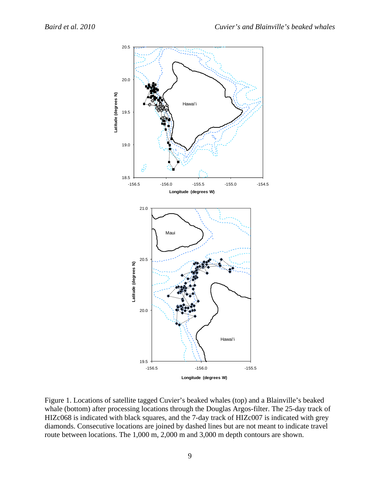

Figure 1. Locations of satellite tagged Cuvier's beaked whales (top) and a Blainville's beaked whale (bottom) after processing locations through the Douglas Argos-filter. The 25-day track of HIZc068 is indicated with black squares, and the 7-day track of HIZc007 is indicated with grey diamonds. Consecutive locations are joined by dashed lines but are not meant to indicate travel route between locations. The 1,000 m, 2,000 m and 3,000 m depth contours are shown.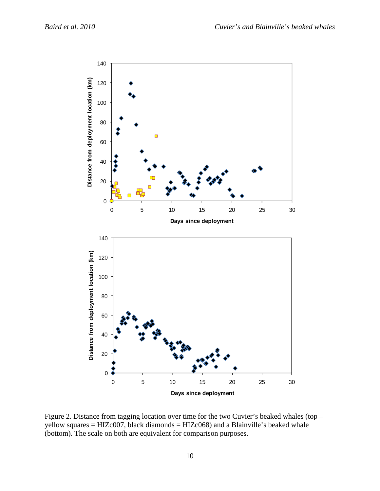

Figure 2. Distance from tagging location over time for the two Cuvier's beaked whales (top – yellow squares = HIZc007, black diamonds = HIZc068) and a Blainville's beaked whale (bottom). The scale on both are equivalent for comparison purposes.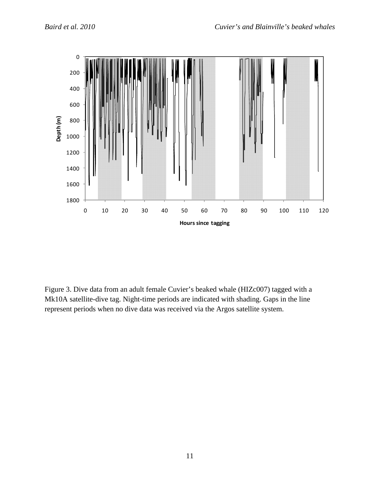

Figure 3. Dive data from an adult female Cuvier's beaked whale (HIZc007) tagged with a Mk10A satellite-dive tag. Night-time periods are indicated with shading. Gaps in the line represent periods when no dive data was received via the Argos satellite system.